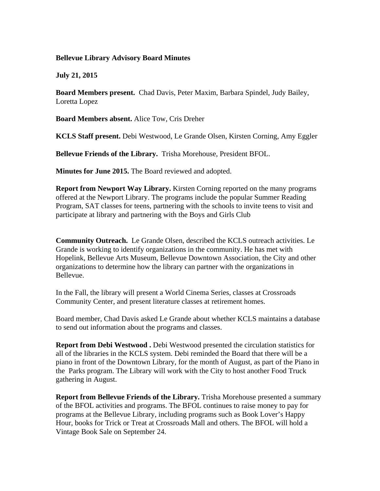## **Bellevue Library Advisory Board Minutes**

**July 21, 2015** 

**Board Members present.** Chad Davis, Peter Maxim, Barbara Spindel, Judy Bailey, Loretta Lopez

**Board Members absent.** Alice Tow, Cris Dreher

**KCLS Staff present.** Debi Westwood, Le Grande Olsen, Kirsten Corning, Amy Eggler

**Bellevue Friends of the Library.** Trisha Morehouse, President BFOL.

**Minutes for June 2015.** The Board reviewed and adopted.

**Report from Newport Way Library.** Kirsten Corning reported on the many programs offered at the Newport Library. The programs include the popular Summer Reading Program, SAT classes for teens, partnering with the schools to invite teens to visit and participate at library and partnering with the Boys and Girls Club

**Community Outreach.** Le Grande Olsen, described the KCLS outreach activities. Le Grande is working to identify organizations in the community. He has met with Hopelink, Bellevue Arts Museum, Bellevue Downtown Association, the City and other organizations to determine how the library can partner with the organizations in Bellevue.

In the Fall, the library will present a World Cinema Series, classes at Crossroads Community Center, and present literature classes at retirement homes.

Board member, Chad Davis asked Le Grande about whether KCLS maintains a database to send out information about the programs and classes.

**Report from Debi Westwood .** Debi Westwood presented the circulation statistics for all of the libraries in the KCLS system. Debi reminded the Board that there will be a piano in front of the Downtown Library, for the month of August, as part of the Piano in the Parks program. The Library will work with the City to host another Food Truck gathering in August.

**Report from Bellevue Friends of the Library.** Trisha Morehouse presented a summary of the BFOL activities and programs. The BFOL continues to raise money to pay for programs at the Bellevue Library, including programs such as Book Lover's Happy Hour, books for Trick or Treat at Crossroads Mall and others. The BFOL will hold a Vintage Book Sale on September 24.